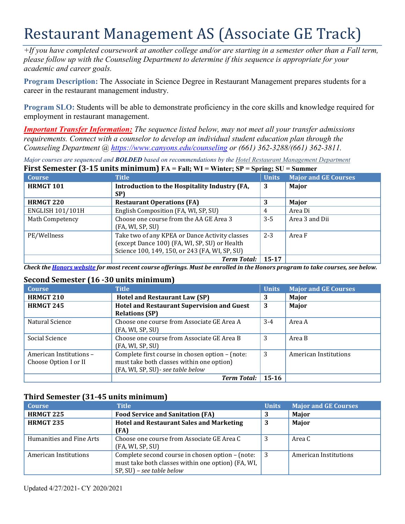# Restaurant Management AS (Associate GE Track)

*+If you have completed coursework at another college and/or are starting in a semester other than a Fall term, please follow up with the Counseling Department to determine if this sequence is appropriate for your academic and career goals.* 

**Program Description:** The Associate in Science Degree in Restaurant Management prepares students for a career in the restaurant management industry.

**Program SLO:** Students will be able to demonstrate proficiency in the core skills and knowledge required for employment in restaurant management.

*Important Transfer Information: The sequence listed below, may not meet all your transfer admissions requirements. Connect with a counselor to develop an individual student education plan through the Counseling Department @<https://www.canyons.edu/counseling> or (661) 362-3288/(661) 362-3811.* 

 **First Semester (3-15 units minimum) FA = Fall; WI = Winter; SP = Spring; SU = Summer**  *Major courses are sequenced and BOLDED based on recommendations by the Hotel Restaurant Management Department* 

| <b>Course</b>           | <b>Title</b>                                                                                                                                      | <b>Units</b> | <b>Major and GE Courses</b> |
|-------------------------|---------------------------------------------------------------------------------------------------------------------------------------------------|--------------|-----------------------------|
| <b>HRMGT 101</b>        | Introduction to the Hospitality Industry (FA,<br>SP)                                                                                              | 3            | Major                       |
| <b>HRMGT 220</b>        | <b>Restaurant Operations (FA)</b>                                                                                                                 | 3            | Major                       |
| <b>ENGLISH 101/101H</b> | English Composition (FA, WI, SP, SU)                                                                                                              | 4            | Area Di                     |
| <b>Math Competency</b>  | Choose one course from the AA GE Area 3<br>(FA, WI, SP, SU)                                                                                       | $3 - 5$      | Area 3 and Dii              |
| PE/Wellness             | Take two of any KPEA or Dance Activity classes<br>(except Dance 100) (FA, WI, SP, SU) or Health<br>Science 100, 149, 150, or 243 (FA, WI, SP, SU) | $2 - 3$      | Area F                      |
|                         | <b>Term Total:</b>                                                                                                                                | $15 - 17$    |                             |

*Check the Honors website for most recent course offerings. Must be enrolled in the Honors program to take courses, see below.* 

# **Second Semester (16 -30 units minimum)**

| <b>Course</b>           | <b>Title</b>                                                   | <b>Units</b> | <b>Major and GE Courses</b> |
|-------------------------|----------------------------------------------------------------|--------------|-----------------------------|
| HRMGT 210               | <b>Hotel and Restaurant Law (SP)</b>                           | 3            | Major                       |
| <b>HRMGT 245</b>        | <b>Hotel and Restaurant Supervision and Guest</b>              | 3            | Major                       |
|                         | <b>Relations (SP)</b>                                          |              |                             |
| Natural Science         | Choose one course from Associate GE Area A                     | $3-4$        | Area A                      |
|                         | (FA, WI, SP, SU)                                               |              |                             |
| Social Science          | Choose one course from Associate GE Area B<br>(FA, WI, SP, SU) | 3            | Area B                      |
| American Institutions - | Complete first course in chosen option - (note:                | 3            | American Institutions       |
| Choose Option I or II   | must take both classes within one option)                      |              |                             |
|                         | (FA, WI, SP, SU) - see table below                             |              |                             |
|                         | <b>Term Total:</b>                                             | $15 - 16$    |                             |

# **Third Semester (31-45 units minimum)**

| <b>Course</b>            | Title                                                                                                                                  | <b>Units</b> | <b>Major and GE Courses</b> |
|--------------------------|----------------------------------------------------------------------------------------------------------------------------------------|--------------|-----------------------------|
| <b>HRMGT 225</b>         | <b>Food Service and Sanitation (FA)</b>                                                                                                | 3            | Major                       |
| <b>HRMGT 235</b>         | <b>Hotel and Restaurant Sales and Marketing</b>                                                                                        | 3            | Major                       |
|                          | (FA)                                                                                                                                   |              |                             |
| Humanities and Fine Arts | Choose one course from Associate GE Area C<br>(FA, WI, SP, SU)                                                                         | 3            | Area C                      |
| American Institutions    | Complete second course in chosen option - (note:<br>must take both classes within one option) (FA, WI,<br>$SP, SU$ ) – see table below | 3            | American Institutions       |